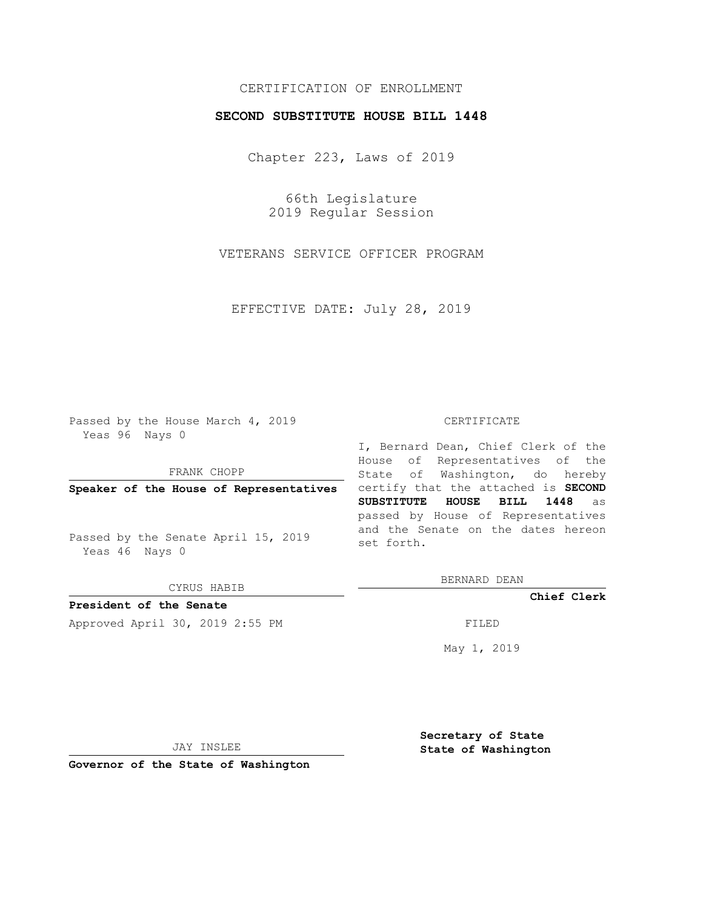# CERTIFICATION OF ENROLLMENT

## **SECOND SUBSTITUTE HOUSE BILL 1448**

Chapter 223, Laws of 2019

66th Legislature 2019 Regular Session

VETERANS SERVICE OFFICER PROGRAM

EFFECTIVE DATE: July 28, 2019

Passed by the House March 4, 2019 Yeas 96 Nays 0

FRANK CHOPP

Passed by the Senate April 15, 2019 Yeas 46 Nays 0

CYRUS HABIB

**President of the Senate**

Approved April 30, 2019 2:55 PM FILED

#### CERTIFICATE

**Speaker of the House of Representatives** certify that the attached is **SECOND** I, Bernard Dean, Chief Clerk of the House of Representatives of the State of Washington, do hereby **SUBSTITUTE HOUSE BILL 1448** as passed by House of Representatives and the Senate on the dates hereon set forth.

BERNARD DEAN

**Chief Clerk**

May 1, 2019

JAY INSLEE

**Governor of the State of Washington**

**Secretary of State State of Washington**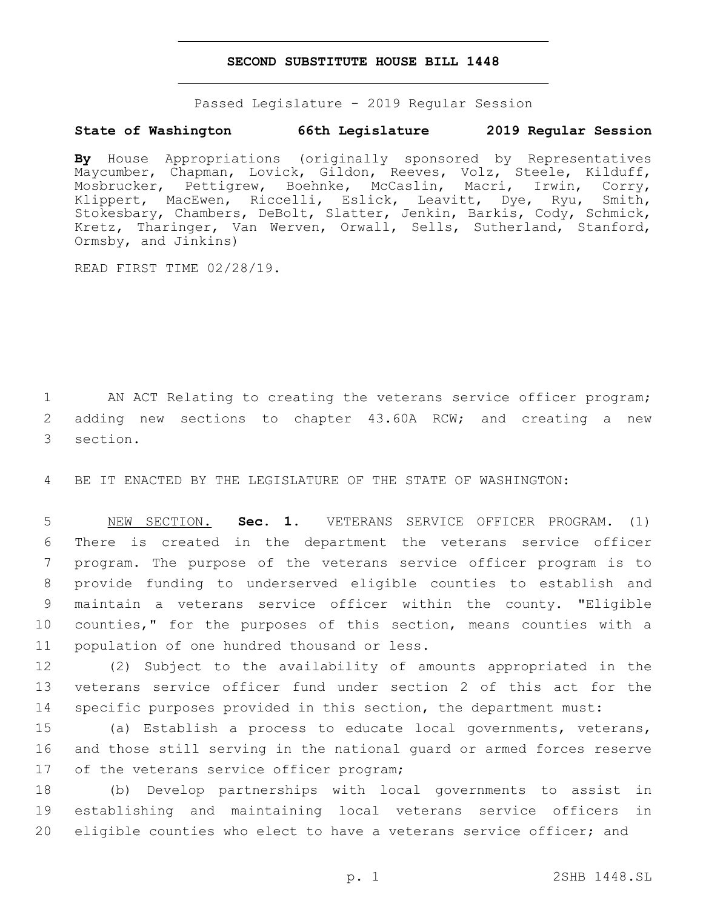## **SECOND SUBSTITUTE HOUSE BILL 1448**

Passed Legislature - 2019 Regular Session

## **State of Washington 66th Legislature 2019 Regular Session**

**By** House Appropriations (originally sponsored by Representatives Maycumber, Chapman, Lovick, Gildon, Reeves, Volz, Steele, Kilduff, Mosbrucker, Pettigrew, Boehnke, McCaslin, Macri, Irwin, Corry, Klippert, MacEwen, Riccelli, Eslick, Leavitt, Dye, Ryu, Smith, Stokesbary, Chambers, DeBolt, Slatter, Jenkin, Barkis, Cody, Schmick, Kretz, Tharinger, Van Werven, Orwall, Sells, Sutherland, Stanford, Ormsby, and Jinkins)

READ FIRST TIME 02/28/19.

1 AN ACT Relating to creating the veterans service officer program; 2 adding new sections to chapter 43.60A RCW; and creating a new 3 section.

4 BE IT ENACTED BY THE LEGISLATURE OF THE STATE OF WASHINGTON:

 NEW SECTION. **Sec. 1.** VETERANS SERVICE OFFICER PROGRAM. (1) There is created in the department the veterans service officer program. The purpose of the veterans service officer program is to provide funding to underserved eligible counties to establish and maintain a veterans service officer within the county. "Eligible 10 counties," for the purposes of this section, means counties with a population of one hundred thousand or less.

12 (2) Subject to the availability of amounts appropriated in the 13 veterans service officer fund under section 2 of this act for the 14 specific purposes provided in this section, the department must:

15 (a) Establish a process to educate local governments, veterans, 16 and those still serving in the national guard or armed forces reserve 17 of the veterans service officer program;

18 (b) Develop partnerships with local governments to assist in 19 establishing and maintaining local veterans service officers in 20 eligible counties who elect to have a veterans service officer; and